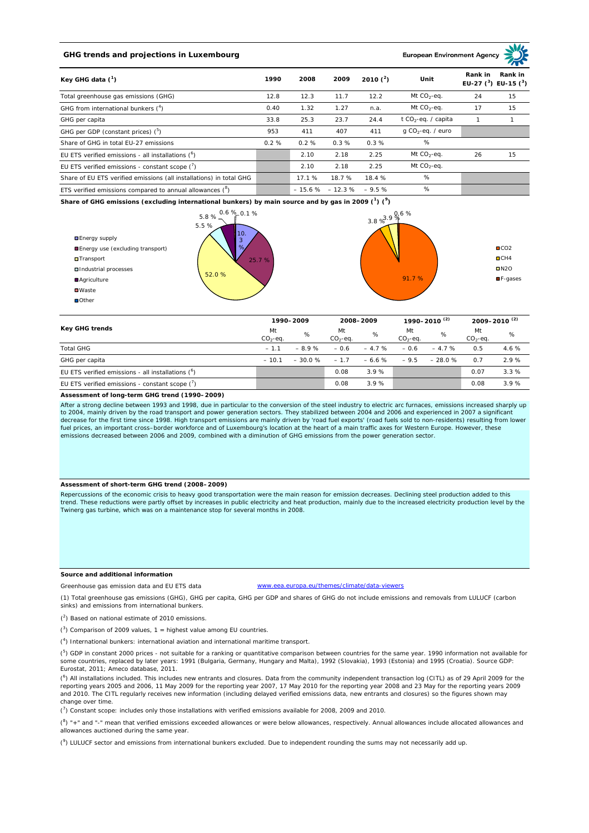# **GHG trends and projections in Luxembourg**

**European Environment Ag** 

| Key GHG data $(^1)$                                                 | 1990 | 2008   | 2009                     | 2010 $(^{2})$ | Unit                            | Rank in<br>Rank in<br>EU-27 $(^3)$ EU-15 $(^3)$ |    |
|---------------------------------------------------------------------|------|--------|--------------------------|---------------|---------------------------------|-------------------------------------------------|----|
| Total greenhouse gas emissions (GHG)                                | 12.8 | 12.3   | 11.7                     | 12.2          | Mt $CO_2$ -eq.                  | 24                                              | 15 |
| GHG from international bunkers $(^4)$                               | 0.40 | 1.32   | 1.27                     | n.a.          | Mt $CO_2$ -eq.                  | 17                                              | 15 |
| GHG per capita                                                      | 33.8 | 25.3   | 23.7                     | 24.4          | t CO <sub>2</sub> -eq. / capita |                                                 |    |
| GHG per GDP (constant prices) $(^5)$                                | 953  | 411    | 407                      | 411           | $q$ CO <sub>2</sub> -eq. / euro |                                                 |    |
| Share of GHG in total EU-27 emissions                               | 0.2% | 0.2%   | 0.3%                     | 0.3%          | %                               |                                                 |    |
| EU ETS verified emissions - all installations $(°)$                 |      | 2.10   | 2.18                     | 2.25          | Mt $CO_2$ -eq.                  | 26                                              | 15 |
| EU ETS verified emissions - constant scope $\binom{7}{1}$           |      | 2.10   | 2.18                     | 2.25          | Mt $CO_2$ -eq.                  |                                                 |    |
| Share of EU ETS verified emissions (all installations) in total GHG |      | 17.1 % | 18.7 %                   | 18.4 %        | %                               |                                                 |    |
| ETS verified emissions compared to annual allowances $(^8)$         |      |        | $-15.6\% -12.3\% -9.5\%$ |               | %                               |                                                 |    |

**Share of GHG emissions (excluding international bunkers) by main source and by gas in 2009 (<sup>1</sup> ) (<sup>9</sup> )**



| <b>Key GHG trends</b>                                |                 | 1990-2009 |                 | 2008-2009 |                 | 1990–2010 <sup>(2)</sup> |                   | 2009-2010 <sup>(2)</sup> |  |
|------------------------------------------------------|-----------------|-----------|-----------------|-----------|-----------------|--------------------------|-------------------|--------------------------|--|
|                                                      | Mt<br>$CO2-eq.$ | %         | Mt<br>$CO2-eq.$ | %         | Mt<br>$CO2-ea.$ | %                        | Mt<br>$CO2 - eq.$ | %                        |  |
| <b>Total GHG</b>                                     | $-1.1$          | $-8.9%$   | $-0.6$          | $-4.7%$   | $-0.6$          | $-4.7%$                  | 0.5               | 4.6%                     |  |
| GHG per capita                                       | $-10.1$         | $-30.0%$  | $-1.7$          | $-6.6 \%$ | $-9.5$          | $-28.0%$                 | 0.7               | 2.9%                     |  |
| EU ETS verified emissions - all installations $(^6)$ |                 |           | 0.08            | 3.9%      |                 |                          | 0.07              | 3.3%                     |  |
| EU ETS verified emissions - constant scope $(7)$     |                 |           | 0.08            | 3.9%      |                 |                          | 0.08              | 3.9%                     |  |

#### **Assessment of long-term GHG trend (1990–2009)**

After a strong decline between 1993 and 1998, due in particular to the conversion of the steel industry to electric arc furnaces, emissions increased sharply up to 2004, mainly driven by the road transport and power generation sectors. They stabilized between 2004 and 2006 and experienced in 2007 a significant decrease for the first time since 1998. High transport emissions are mainly driven by 'road fuel exports' (road fuels sold to non-residents) resulting from lower<br>fuel prices, an important cross–border workforce and of Luxe emissions decreased between 2006 and 2009, combined with a diminution of GHG emissions from the power generation sector.

### **Assessment of short-term GHG trend (2008–2009)**

Repercussions of the economic crisis to heavy good transportation were the main reason for emission decreases. Declining steel production added to this trend. These reductions were partly offset by increases in public electricity and heat production, mainly due to the increased electricity production level by the Twinerg gas turbine, which was on a maintenance stop for several months in 2008.

### **Source and additional information**

Greenhouse gas emission data and EU ETS data www.eea.europa.eu/themes/climate/data-viewers

(1) Total greenhouse gas emissions (GHG), GHG per capita, GHG per GDP and shares of GHG do not include emissions and removals from LULUCF (carbon sinks) and emissions from international bunkers.

( 2 ) Based on national estimate of 2010 emissions.

 $(3)$  Comparison of 2009 values, 1 = highest value among EU countries.

( 4 ) International bunkers: international aviation and international maritime transport.

 $(^{5})$  GDP in constant 2000 prices - not suitable for a ranking or quantitative comparison between countries for the same year. 1990 information not available for some countries, replaced by later years: 1991 (Bulgaria, Germany, Hungary and Malta), 1992 (Slovakia), 1993 (Estonia) and 1995 (Croatia). Source GDP: Eurostat, 2011; Ameco database, 2011.

(<sup>6</sup>) All installations included. This includes new entrants and closures. Data from the community independent transaction log (CITL) as of 29 April 2009 for the<br>reporting years 2005 and 2006, 11 May 2009 for the reporting and 2010. The CITL regularly receives new information (including delayed verified emissions data, new entrants and closures) so the figures shown may change over time.

 $\binom{7}{1}$  Constant scope: includes only those installations with verified emissions available for 2008, 2009 and 2010.

 $(^{8}$ ) " $+$ " and "-" mean that verified emissions exceeded allowances or were below allowances, respectively. Annual allowances include allocated allowances and allowances auctioned during the same year.

 $(2)$  LULUCF sector and emissions from international bunkers excluded. Due to independent rounding the sums may not necessarily add up.